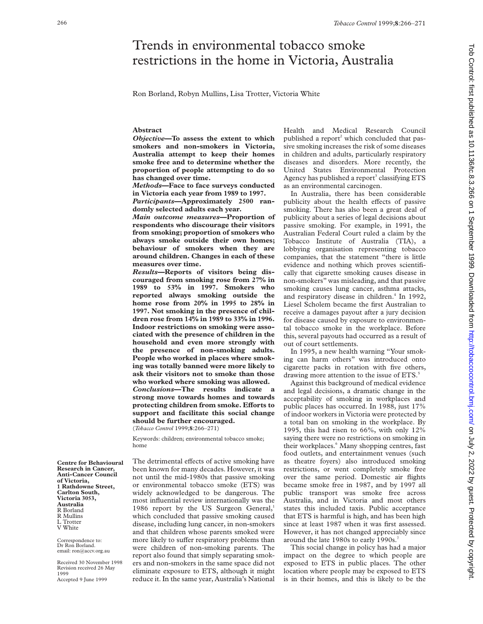# Trends in environmental tobacco smoke restrictions in the home in Victoria, Australia

Ron Borland, Robyn Mullins, Lisa Trotter, Victoria White

## **Abstract**

*Objective***—To assess the extent to which smokers and non-smokers in Victoria, Australia attempt to keep their homes smoke free and to determine whether the proportion of people attempting to do so has changed over time.**

*Methods***—Face to face surveys conducted in Victoria each year from 1989 to 1997.**

*Participants***—Approximately 2500 randomly selected adults each year.**

*Main outcome measures***—Proportion of respondents who discourage their visitors from smoking; proportion of smokers who always smoke outside their own homes; behaviour of smokers when they are around children. Changes in each of these measures over time.**

*Results***—Reports of visitors being discouraged from smoking rose from 27% in 1989 to 53% in 1997. Smokers who reported always smoking outside the home rose from 20% in 1995 to 28% in 1997. Not smoking in the presence of children rose from 14% in 1989 to 33% in 1996. Indoor restrictions on smoking were associated with the presence of children in the household and even more strongly with the presence of non-smoking adults. People who worked in places where smoking was totally banned were more likely to ask their visitors not to smoke than those who worked where smoking was allowed.** *Conclusions***—The results indicate a strong move towards homes and towards protecting children from smoke. Efforts to support and facilitate this social change should be further encouraged.**

(*Tobacco Control* 1999;**8**:266–271)

Keywords: children; environmental tobacco smoke; home

The detrimental effects of active smoking have been known for many decades. However, it was not until the mid-1980s that passive smoking or environmental tobacco smoke (ETS) was widely acknowledged to be dangerous. The most influential review internationally was the 1986 report by the US Surgeon General,<sup>1</sup> which concluded that passive smoking caused disease, including lung cancer, in non-smokers and that children whose parents smoked were more likely to suffer respiratory problems than were children of non-smoking parents. The report also found that simply separating smokers and non-smokers in the same space did not eliminate exposure to ETS, although it might reduce it. In the same year, Australia's National

Health and Medical Research Council published a report<sup>2</sup> which concluded that passive smoking increases the risk of some diseases in children and adults, particularly respiratory diseases and disorders. More recently, the United States Environmental Protection Agency has published a report<sup>3</sup> classifying ETS as an environmental carcinogen.

In Australia, there has been considerable publicity about the health effects of passive smoking. There has also been a great deal of publicity about a series of legal decisions about passive smoking. For example, in 1991, the Australian Federal Court ruled a claim by the Tobacco Institute of Australia (TIA), a lobbying organisation representing tobacco companies, that the statement "there is little evidence and nothing which proves scientifically that cigarette smoking causes disease in non-smokers" was misleading, and that passive smoking causes lung cancer, asthma attacks, and respiratory disease in children.<sup>4</sup> In 1992, Liesel Scholem became the first Australian to receive a damages payout after a jury decision for disease caused by exposure to environmental tobacco smoke in the workplace. Before this, several payouts had occurred as a result of out of court settlements.

In 1995, a new health warning "Your smoking can harm others" was introduced onto cigarette packs in rotation with five others, drawing more attention to the issue of ETS.<sup>5</sup>

Against this background of medical evidence and legal decisions, a dramatic change in the acceptability of smoking in workplaces and public places has occurred. In 1988, just 17% of indoor workers in Victoria were protected by a total ban on smoking in the workplace. By 1995, this had risen to 66%, with only 12% saying there were no restrictions on smoking in their workplaces.<sup>6</sup> Many shopping centres, fast food outlets, and entertainment venues (such as theatre foyers) also introduced smoking restrictions, or went completely smoke free over the same period. Domestic air flights became smoke free in 1987, and by 1997 all public transport was smoke free across Australia, and in Victoria and most others states this included taxis. Public acceptance that ETS is harmful is high, and has been high since at least 1987 when it was first assessed. However, it has not changed appreciably since around the late 1980s to early 1990s.<sup>7</sup>

This social change in policy has had a major impact on the degree to which people are exposed to ETS in public places. The other location where people may be exposed to ETS is in their homes, and this is likely to be the

**Centre for Behavioural Research in Cancer, Anti-Cancer Council of Victoria, 1 Rathdowne Street, Carlton South, Victoria 3053, Australia** R Borland R Mullins L Trotter V White

Correspondence to: Dr Ron Borland. email: ron@accv.org.au

Received 30 November 1998 Revision received 26 May 1999 Accepted 9 June 1999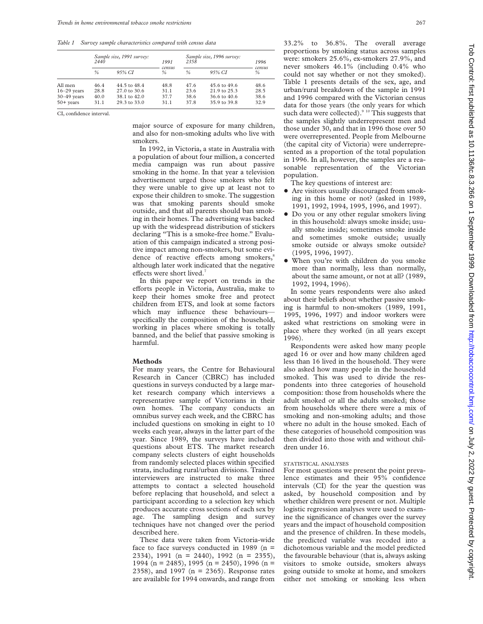*Table 1 Survey sample characteristics compared with census data*

|                                                              | Sample size, 1991 survey:<br>2440 |                                                                         | 1991                         | Sample size, 1996 survey:<br>2358 | 1996                                                         |                              |
|--------------------------------------------------------------|-----------------------------------|-------------------------------------------------------------------------|------------------------------|-----------------------------------|--------------------------------------------------------------|------------------------------|
|                                                              | $\%$                              | 95% CI                                                                  | census<br>$\frac{0}{n}$      | $\frac{0}{6}$                     | 95% CI                                                       | census<br>%                  |
| All men<br>$16 - 29$ years<br>$30 - 49$ years<br>$50+$ vears | 46.4<br>28.8<br>40.0<br>31.1      | 44.5 to 48.4<br>$27.0 \text{ to } 30.6$<br>38.1 to 42.0<br>29.3 to 33.0 | 48.8<br>31.1<br>37.7<br>31.1 | 47.6<br>23.6<br>38.6<br>37.8      | 45.6 to 49.6<br>21.9 to 25.3<br>36.6 to 40.6<br>35.9 to 39.8 | 48.6<br>28.5<br>38.6<br>32.9 |

CI, confidence interval.

major source of exposure for many children, and also for non-smoking adults who live with smokers.

In 1992, in Victoria, a state in Australia with a population of about four million, a concerted media campaign was run about passive smoking in the home. In that year a television advertisement urged those smokers who felt they were unable to give up at least not to expose their children to smoke. The suggestion was that smoking parents should smoke outside, and that all parents should ban smoking in their homes. The advertising was backed up with the widespread distribution of stickers declaring "This is a smoke-free home." Evaluation of this campaign indicated a strong positive impact among non-smokers, but some evidence of reactive effects among smokers,<sup>8</sup> although later work indicated that the negative effects were short lived.<sup>7</sup>

In this paper we report on trends in the efforts people in Victoria, Australia, make to keep their homes smoke free and protect children from ETS, and look at some factors which may influence these behaviours specifically the composition of the household, working in places where smoking is totally banned, and the belief that passive smoking is harmful.

#### **Methods**

For many years, the Centre for Behavioural Research in Cancer (CBRC) has included questions in surveys conducted by a large market research company which interviews a representative sample of Victorians in their own homes. The company conducts an omnibus survey each week, and the CBRC has included questions on smoking in eight to 10 weeks each year, always in the latter part of the year. Since 1989, the surveys have included questions about ETS. The market research company selects clusters of eight households from randomly selected places within specified strata, including rural/urban divisions. Trained interviewers are instructed to make three attempts to contact a selected household before replacing that household, and select a participant according to a selection key which produces accurate cross sections of each sex by age. The sampling design and survey techniques have not changed over the period described here.

These data were taken from Victoria-wide face to face surveys conducted in 1989 (n = 2334), 1991 (n = 2440), 1992 (n = 2355), 1994 (n = 2485), 1995 (n = 2450), 1996 (n = 2358), and 1997 (n = 2365). Response rates are available for 1994 onwards, and range from

33.2% to 36.8%. The overall average proportions by smoking status across samples were: smokers 25.6%, ex-smokers 27.9%, and never smokers 46.1% (including 0.4% who could not say whether or not they smoked). Table 1 presents details of the sex, age, and urban/rural breakdown of the sample in 1991 and 1996 compared with the Victorian census data for those years (the only years for which such data were collected).<sup>9 10</sup> This suggests that the samples slightly underrepresent men and those under 30, and that in 1996 those over 50 were overrepresented. People from Melbourne (the capital city of Victoria) were underrepresented as a proportion of the total population in 1996. In all, however, the samples are a reasonable representation of the Victorian population.

The key questions of interest are:

- + Are visitors usually discouraged from smoking in this home or not? (asked in 1989, 1991, 1992, 1994, 1995, 1996, and 1997).
- Do you or any other regular smokers living in this household: always smoke inside; usually smoke inside; sometimes smoke inside and sometimes smoke outside; usually smoke outside or always smoke outside? (1995, 1996, 1997).
- + When you're with children do you smoke more than normally, less than normally, about the same amount, or not at all? (1989, 1992, 1994, 1996).

In some years respondents were also asked about their beliefs about whether passive smoking is harmful to non-smokers (1989, 1991, 1995, 1996, 1997) and indoor workers were asked what restrictions on smoking were in place where they worked (in all years except 1996).

Respondents were asked how many people aged 16 or over and how many children aged less than 16 lived in the household. They were also asked how many people in the household smoked. This was used to divide the respondents into three categories of household composition: those from households where the adult smoked or all the adults smoked; those from households where there were a mix of smoking and non-smoking adults; and those where no adult in the house smoked. Each of these categories of household composition was then divided into those with and without children under 16.

# STATISTICAL ANALYSES

For most questions we present the point prevalence estimates and their 95% confidence intervals (CI) for the year the question was asked, by household composition and by whether children were present or not. Multiple logistic regression analyses were used to examine the significance of changes over the survey years and the impact of household composition and the presence of children. In these models, the predicted variable was recoded into a dichotomous variable and the model predicted the favourable behaviour (that is, always asking visitors to smoke outside, smokers always going outside to smoke at home, and smokers either not smoking or smoking less when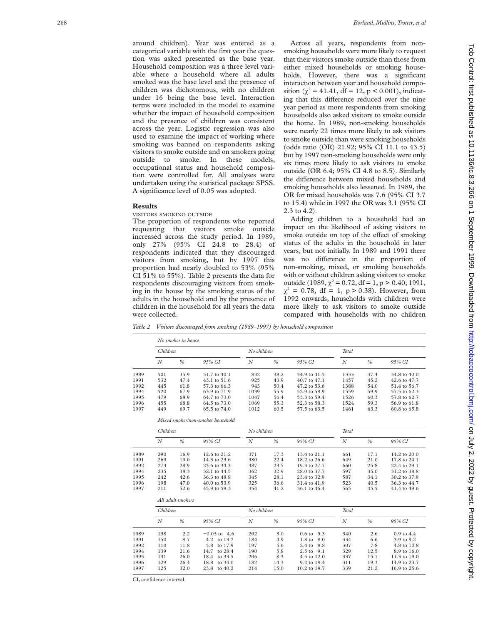around children). Year was entered as a categorical variable with the first year the question was asked presented as the base year. Household composition was a three level variable where a household where all adults smoked was the base level and the presence of children was dichotomous, with no children under 16 being the base level. Interaction terms were included in the model to examine whether the impact of household composition and the presence of children was consistent across the year. Logistic regression was also used to examine the impact of working where smoking was banned on respondents asking visitors to smoke outside and on smokers going outside to smoke. In these models, occupational status and household composition were controlled for. All analyses were undertaken using the statistical package SPSS. A significance level of 0.05 was adopted.

## **Results**

VISITORS SMOKING OUTSIDE

The proportion of respondents who reported requesting that visitors smoke outside increased across the study period. In 1989, only 27% (95% CI 24.8 to 28.4) of respondents indicated that they discouraged visitors from smoking, but by 1997 this proportion had nearly doubled to 53% (95% CI 51% to 55%). Table 2 presents the data for respondents discouraging visitors from smoking in the house by the smoking status of the adults in the household and by the presence of children in the household for all years the data were collected.

Across all years, respondents from nonsmoking households were more likely to request that their visitors smoke outside than those from either mixed households or smoking households. However, there was a significant interaction between year and household composition ( $\chi^2$  = 41.41, df = 12, p < 0.001), indicating that this difference reduced over the nine year period as more respondents from smoking households also asked visitors to smoke outside the home. In 1989, non-smoking households were nearly 22 times more likely to ask visitors to smoke outside than were smoking households (odds ratio (OR) 21.92; 95% CI 11.1 to 43.5) but by 1997 non-smoking households were only six times more likely to ask visitors to smoke outside (OR 6.4; 95% CI 4.8 to 8.5). Similarly the difference between mixed households and smoking households also lessened. In 1989, the OR for mixed households was 7.6 (95% CI 3.7 to 15.4) while in 1997 the OR was 3.1 (95% CI 2.3 to 4.2).

Adding children to a household had an impact on the likelihood of asking visitors to smoke outside on top of the effect of smoking status of the adults in the household in later years, but not initially. In 1989 and 1991 there was no difference in the proportion of non-smoking, mixed, or smoking households with or without children asking visitors to smoke outside  $(1989, \chi^2 = 0.72, df = 1, p > 0.40; 1991,$  $\chi^2 = 0.78$ , df = 1, p > 0.38). However, from 1992 onwards, households with children were more likely to ask visitors to smoke outside compared with households with no children

*Table 2 Visitors discouraged from smoking (1989–1997) by household composition*

|      |                  | No smoker in house |                                   |             |             |                       |          |               |                |  |
|------|------------------|--------------------|-----------------------------------|-------------|-------------|-----------------------|----------|---------------|----------------|--|
|      |                  | Children           |                                   |             | No children |                       | Total    |               |                |  |
|      | N                | $\frac{0}{6}$      | 95% CI                            | N           | $\%$        | 95% CI                | N        | $\frac{0}{6}$ | 95% CI         |  |
| 1989 | 501              | 35.9               | 31.7 to 40.1                      | 832         | 38.2        | 34.9 to 41.5          | 1333     | 37.4          | 34.8 to 40.0   |  |
| 1991 | 532              | 47.4               | 43.1 to 51.6                      | 925         | 43.9        | 40.7 to 47.1          | 1457     | 45.2          | 42.6 to 47.7   |  |
| 1992 | 445              | 61.8               | 57.3 to 66.3                      | 943         | 50.4        | 47.2 to 53.6          | 1388     | 54.0          | 51.4 to 56.7   |  |
| 1994 | 520              | 67.9               | 63.9 to 71.9                      | 1039        | 55.9        | 52.9 to 58.9          | 1559     | 59.9          | 57.5 to 62.3   |  |
| 1995 | 479              | 68.9               | 64.7 to 73.0                      | 1047        | 56.4        | 53.3 to 59.4          | 1526     | 60.3          | 57.8 to 62.7   |  |
| 1996 | 455              | 68.8               | 64.5 to 73.0                      | 1069        | 55.3        | 52.3 to 58.3          | 1524     | 59.3          | 56.9 to 61.8   |  |
| 1997 | 449              | 69.7               | 65.5 to 74.0                      | 1012        | 60.5        | 57.5 to 63.5          | 1461     | 63.3          | 60.8 to 65.8   |  |
|      |                  |                    | Mixed smoker/non-smoker household |             |             |                       |          |               |                |  |
|      | Children         |                    |                                   | No children |             |                       | Total    |               |                |  |
|      | $\boldsymbol{N}$ | $\%$               | 95% CI                            | N           | $\%$        | 95% CI                | $\cal N$ | $\%$          | 95% CI         |  |
| 1989 | 290              | 16.9               | 12.6 to 21.2                      | 371         | 17.3        | 13.4 to 21.1          | 661      | 17.1          | 14.2 to 20.0   |  |
| 1991 | 269              | 19.0               | 14.3 to 23.6                      | 380         | 22.4        | 18.2 to 26.6          | 649      | 21.0          | 17.8 to 24.1   |  |
| 1992 | 273              | 28.9               | 23.6 to 34.3                      | 387         | 23.5        | 19.3 to 27.7          | 660      | 25.8          | 22.4 to 29.1   |  |
| 1994 | 235              | 38.3               | 32.1 to 44.5                      | 362         | 32.9        | 28.0 to 37.7          | 597      | 35.0          | 31.2 to 38.8   |  |
| 1995 | 242              | 42.6               | 36.3 to 48.8                      | 345         | 28.1        | 23.4 to 32.9          | 587      | 34.1          | 30.2 to 37.9   |  |
| 1996 | 198              | 47.0               | 40.0 to 53.9                      | 325         | 36.6        | 31.4 to 41.9          | 523      | 40.5          | 36.3 to 44.7   |  |
| 1997 | 211              | 52.6               | 45.9 to 59.3                      | 354         | 41.2        | 36.1 to 46.4          | 565      | 45.5          | 41.4 to 49.6   |  |
|      |                  | All adult smokers  |                                   |             |             |                       |          |               |                |  |
|      | Children         |                    |                                   | No children |             |                       | Total    |               |                |  |
|      | N                | $\%$               | 95% CI                            | N           | %           | 95% CI                | N        | %             | 95% CI         |  |
| 1989 | 138              | 2.2                | $-0.03$ to 4.6                    | 202         | 3.0         | $0.6 \text{ to } 5.3$ | 340      | 2.6           | $0.9$ to $4.4$ |  |
| 1991 | 150              | 8.7                | 4.2 to 13.2                       | 184         | 4.9         | 1.8 to 8.0            | 334      | 6.6           | 3.9 to 9.2     |  |
| 1992 | 110              | 11.8               | 5.8<br>to 17.9                    | 197         | 5.6         | 2.4 to 8.8            | 307      | 7.8           | 4.8 to 10.8    |  |
| 1994 | 139              | 21.6               | 14.7<br>to 28.4                   | 190         | 5.8         | 2.5 to 9.1            | 329      | 12.5          | 8.9 to 16.0    |  |
| 1995 | 131              | 26.0               | 18.4 to 33.5                      | 206         | 8.3         | 4.5 to 12.0           | 337      | 15.1          | 11.3 to 19.0   |  |
| 1996 | 129              | 26.4               | 18.8 to 34.0                      | 182         | 14.3        | 9.2 to 19.4           | 311      | 19.3          | 14.9 to 23.7   |  |
| 1997 | 125              | 32.0               | 23.8 to 40.2                      | 214         | 15.0        | 10.2 to 19.7          | 339      | 21.2          | 16.9 to 25.6   |  |

CI, confidence interval.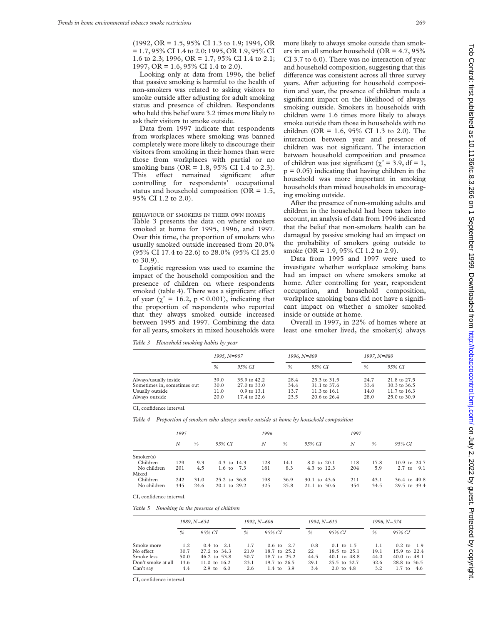(1992, OR = 1.5, 95% CI 1.3 to 1.9; 1994, OR = 1.7, 95% CI 1.4 to 2.0; 1995, OR 1.9, 95% CI 1.6 to 2.3; 1996, OR = 1.7, 95% CI 1.4 to 2.1; 1997, OR = 1.6, 95% CI 1.4 to 2.0).

Looking only at data from 1996, the belief that passive smoking is harmful to the health of non-smokers was related to asking visitors to smoke outside after adjusting for adult smoking status and presence of children. Respondents who held this belief were 3.2 times more likely to ask their visitors to smoke outside.

Data from 1997 indicate that respondents from workplaces where smoking was banned completely were more likely to discourage their visitors from smoking in their homes than were those from workplaces with partial or no smoking bans (OR = 1.8, 95% CI 1.4 to 2.3). This effect remained significant after controlling for respondents' occupational status and household composition (OR = 1.5, 95% CI 1.2 to 2.0).

BEHAVIOUR OF SMOKERS IN THEIR OWN HOMES Table 3 presents the data on where smokers smoked at home for 1995, 1996, and 1997. Over this time, the proportion of smokers who usually smoked outside increased from 20.0% (95% CI 17.4 to 22.6) to 28.0% (95% CI 25.0 to 30.9).

Logistic regression was used to examine the impact of the household composition and the presence of children on where respondents smoked (table 4). There was a significant effect of year ( $\chi^2 = 16.2$ , p < 0.001), indicating that the proportion of respondents who reported that they always smoked outside increased between 1995 and 1997. Combining the data for all years, smokers in mixed households were more likely to always smoke outside than smokers in an all smoker household ( $OR = 4.7, 95\%$ CI 3.7 to 6.0). There was no interaction of year and household composition, suggesting that this difference was consistent across all three survey years. After adjusting for household composition and year, the presence of children made a significant impact on the likelihood of always smoking outside. Smokers in households with children were 1.6 times more likely to always smoke outside than those in households with no children (OR =  $1.6$ , 95% CI 1.3 to 2.0). The interaction between year and presence of children was not significant. The interaction between household composition and presence of children was just significant ( $\chi^2$  = 3.9, df = 1,  $p = 0.05$ ) indicating that having children in the household was more important in smoking households than mixed households in encouraging smoking outside.

After the presence of non-smoking adults and children in the household had been taken into account, an analysis of data from 1996 indicated that the belief that non-smokers health can be damaged by passive smoking had an impact on the probability of smokers going outside to smoke (OR = 1.9, 95% CI 1.2 to 2.9).

Data from 1995 and 1997 were used to investigate whether workplace smoking bans had an impact on where smokers smoke at home. After controlling for year, respondent occupation, and household composition, workplace smoking bans did not have a significant impact on whether a smoker smoked inside or outside at home.

Overall in 1997, in 22% of homes where at least one smoker lived, the smoker(s) always

*Table 3 Household smoking habits by year*

|                             | $1995, N=907$ |                         | $1996, N = 809$ |                         | $1997, N = 880$ |                         |
|-----------------------------|---------------|-------------------------|-----------------|-------------------------|-----------------|-------------------------|
|                             | $\%$          | 95% CI                  | $\%$            | 95% CI                  | %               | 95% CI                  |
| Always/usually inside       | 39.0          | 35.9 to 42.2            | 28.4            | 25.3 to 31.5            | 24.7            | 21.8 to 27.5            |
| Sometimes in, sometimes out | 30.0          | $27.0 \text{ to } 33.0$ | 34.4            | 31.1 to 37.6            | 33.4            | 30.3 to 36.5            |
| Usually outside             | 11.0          | $0.9 \text{ to } 13.1$  | 13.7            | $11.3 \text{ to } 16.1$ | 14.0            | 11.7 to 16.3            |
| Always outside              | 20.0          | 17.4 to 22.6            | 23.5            | $20.6 \text{ to } 26.4$ | 28.0            | $25.0 \text{ to } 30.9$ |

CI, confidence interval.

*Table 4 Proportion of smokers who always smoke outside at home by household composition*

|             | 1995 |      |              | 1996 |      |              | 1997 |               |                 |
|-------------|------|------|--------------|------|------|--------------|------|---------------|-----------------|
|             | N    | %    | 95% CI       | N    | $\%$ | 95% CI       | N    | $\frac{0}{0}$ | 95% CI          |
| Smoker(s)   |      |      |              |      |      |              |      |               |                 |
| Children    | 129  | 9.3  | 4.3 to 14.3  | 128  | 14.1 | 8.0 to 20.1  | 118  | 17.8          | 10.9 to 24.7    |
| No children | 201  | 4.5  | 1.6 to 7.3   | 181  | 8.3  | 4.3 to 12.3  | 204  | 5.9           | $2.7$ to<br>9.1 |
| Mixed       |      |      |              |      |      |              |      |               |                 |
| Children    | 242  | 31.0 | 25.2 to 36.8 | 198  | 36.9 | 30.1 to 43.6 | 211  | 43.1          | 36.4 to 49.8    |
| No children | 345  | 24.6 | 20.1 to 29.2 | 325  | 25.8 | 21.1 to 30.6 | 354  | 34.5          | 29.5 to 39.4    |

CI, confidence interval.

*Table 5 Smoking in the presence of children*

|                    | 1989, N=654   |                          | $1992, N=606$ |                       | $1994, N=615$ |                       | 1996, N=574 |                       |
|--------------------|---------------|--------------------------|---------------|-----------------------|---------------|-----------------------|-------------|-----------------------|
|                    | $\frac{0}{0}$ | 95% CI                   | $\frac{0}{0}$ | 95% CI                | $\frac{0}{6}$ | 95% CI                | %           | 95% CI                |
| Smoke more         | 1.2           | $0.4 \text{ to } 2.1$    | 1.7           | $0.6 \text{ to } 2.7$ | 0.8           | $0.1$ to 1.5          | 1.1         | $0.2 \text{ to } 1.9$ |
| No effect          | 30.7          | 27.2 to 34.3             | 21.9          | 18.7 to 25.2          | 22            | 18.5 to 25.1          | 19.1        | 15.9 to 22.4          |
| Smoke less         | 50.0          | $46.2$ to $53.8$         | 50.7          | 18.7 to 25.2          | 44.5          | 40.1 to 48.8          | 44.0        | 40.0 to 48.1          |
| Don't smoke at all | 13.6          | 11.0 to $16.2$           | 23.1          | 19.7 to 26.5          | 29.1          | 25.5 to 32.7          | 32.6        | 28.8 to 36.5          |
| Can't say          | 4.4           | 2.9 <sub>to</sub><br>6.0 | 2.6           | $1.4 \text{ to } 3.9$ | 3.4           | $2.0 \text{ to } 4.8$ | 3.2         | 4.6<br>$1.7$ to       |

CI, confidence interval.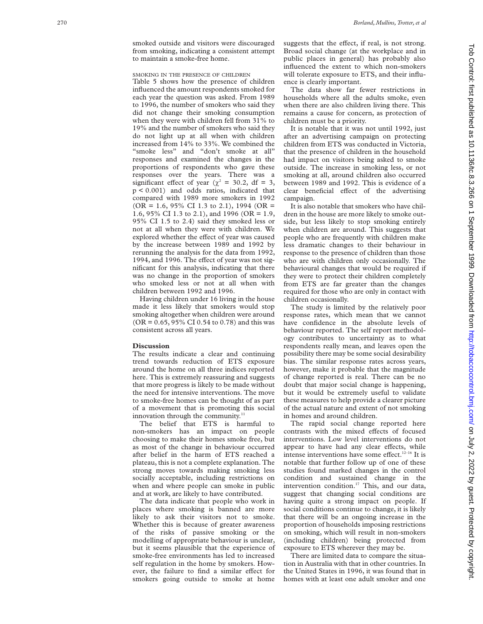smoked outside and visitors were discouraged from smoking, indicating a consistent attempt to maintain a smoke-free home.

# SMOKING IN THE PRESENCE OF CHILDREN

Table 5 shows how the presence of children influenced the amount respondents smoked for each year the question was asked. From 1989 to 1996, the number of smokers who said they did not change their smoking consumption when they were with children fell from 31% to 19% and the number of smokers who said they do not light up at all when with children increased from 14% to 33%. We combined the "smoke less" and "don't smoke at all" responses and examined the changes in the proportions of respondents who gave these responses over the years. There was a significant effect of year ( $\chi^2$  = 30.2, df = 3, p < 0.001) and odds ratios, indicated that compared with 1989 more smokers in 1992  $(OR = 1.6, 95\% \text{ CI } 1.3 \text{ to } 2.1), 1994 \text{ (OR = } 1.5)$ 1.6, 95% CI 1.3 to 2.1), and 1996 (OR = 1.9, 95% CI 1.5 to 2.4) said they smoked less or not at all when they were with children. We explored whether the effect of year was caused by the increase between 1989 and 1992 by rerunning the analysis for the data from 1992, 1994, and 1996. The effect of year was not significant for this analysis, indicating that there was no change in the proportion of smokers who smoked less or not at all when with children between 1992 and 1996.

Having children under 16 living in the house made it less likely that smokers would stop smoking altogether when children were around  $(OR = 0.65, 95\% \text{ CI } 0.54 \text{ to } 0.78)$  and this was consistent across all years.

#### **Discussion**

The results indicate a clear and continuing trend towards reduction of ETS exposure around the home on all three indices reported here. This is extremely reassuring and suggests that more progress is likely to be made without the need for intensive interventions. The move to smoke-free homes can be thought of as part of a movement that is promoting this social innovation through the community.<sup>11</sup>

The belief that ETS is harmful to non-smokers has an impact on people choosing to make their homes smoke free, but as most of the change in behaviour occurred after belief in the harm of ETS reached a plateau, this is not a complete explanation. The strong moves towards making smoking less socially acceptable, including restrictions on when and where people can smoke in public and at work, are likely to have contributed.

The data indicate that people who work in places where smoking is banned are more likely to ask their visitors not to smoke. Whether this is because of greater awareness of the risks of passive smoking or the modelling of appropriate behaviour is unclear, but it seems plausible that the experience of smoke-free environments has led to increased self regulation in the home by smokers. However, the failure to find a similar effect for smokers going outside to smoke at home

suggests that the effect, if real, is not strong. Broad social change (at the workplace and in public places in general) has probably also influenced the extent to which non-smokers will tolerate exposure to ETS, and their influence is clearly important.

The data show far fewer restrictions in households where all the adults smoke, even when there are also children living there. This remains a cause for concern, as protection of children must be a priority.

It is notable that it was not until 1992, just after an advertising campaign on protecting children from ETS was conducted in Victoria, that the presence of children in the household had impact on visitors being asked to smoke outside. The increase in smoking less, or not smoking at all, around children also occurred between 1989 and 1992. This is evidence of a clear beneficial effect of the advertising campaign.

It is also notable that smokers who have children in the house are more likely to smoke outside, but less likely to stop smoking entirely when children are around. This suggests that people who are frequently with children make less dramatic changes to their behaviour in response to the presence of children than those who are with children only occasionally. The behavioural changes that would be required if they were to protect their children completely from ETS are far greater than the changes required for those who are only in contact with children occasionally.

The study is limited by the relatively poor response rates, which mean that we cannot have confidence in the absolute levels of behaviour reported. The self report methodology contributes to uncertainty as to what respondents really mean, and leaves open the possibility there may be some social desirability bias. The similar response rates across years, however, make it probable that the magnitude of change reported is real. There can be no doubt that major social change is happening, but it would be extremely useful to validate these measures to help provide a clearer picture of the actual nature and extent of not smoking in homes and around children.

The rapid social change reported here contrasts with the mixed effects of focused interventions. Low level interventions do not appear to have had any clear effects, while intense interventions have some effect. $12-16$  It is notable that further follow up of one of these studies found marked changes in the control condition and sustained change in the intervention condition.<sup>17</sup> This, and our data, suggest that changing social conditions are having quite a strong impact on people. If social conditions continue to change, it is likely that there will be an ongoing increase in the proportion of households imposing restrictions on smoking, which will result in non-smokers (including children) being protected from exposure to ETS wherever they may be.

There are limited data to compare the situation in Australia with that in other countries. In the United States in 1996, it was found that in homes with at least one adult smoker and one